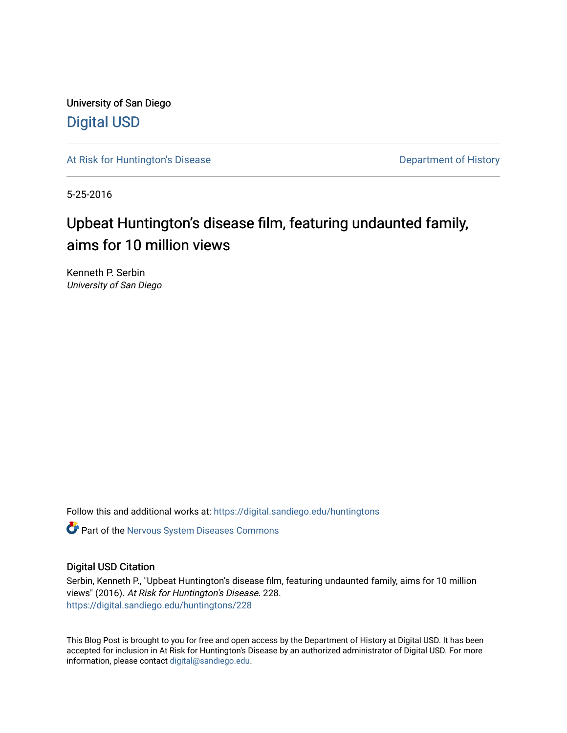University of San Diego [Digital USD](https://digital.sandiego.edu/)

[At Risk for Huntington's Disease](https://digital.sandiego.edu/huntingtons) **Department of History** Department of History

5-25-2016

# Upbeat Huntington's disease film, featuring undaunted family, aims for 10 million views

Kenneth P. Serbin University of San Diego

Follow this and additional works at: [https://digital.sandiego.edu/huntingtons](https://digital.sandiego.edu/huntingtons?utm_source=digital.sandiego.edu%2Fhuntingtons%2F228&utm_medium=PDF&utm_campaign=PDFCoverPages)

**C** Part of the [Nervous System Diseases Commons](http://network.bepress.com/hgg/discipline/928?utm_source=digital.sandiego.edu%2Fhuntingtons%2F228&utm_medium=PDF&utm_campaign=PDFCoverPages)

### Digital USD Citation

Serbin, Kenneth P., "Upbeat Huntington's disease film, featuring undaunted family, aims for 10 million views" (2016). At Risk for Huntington's Disease. 228. [https://digital.sandiego.edu/huntingtons/228](https://digital.sandiego.edu/huntingtons/228?utm_source=digital.sandiego.edu%2Fhuntingtons%2F228&utm_medium=PDF&utm_campaign=PDFCoverPages)

This Blog Post is brought to you for free and open access by the Department of History at Digital USD. It has been accepted for inclusion in At Risk for Huntington's Disease by an authorized administrator of Digital USD. For more information, please contact [digital@sandiego.edu.](mailto:digital@sandiego.edu)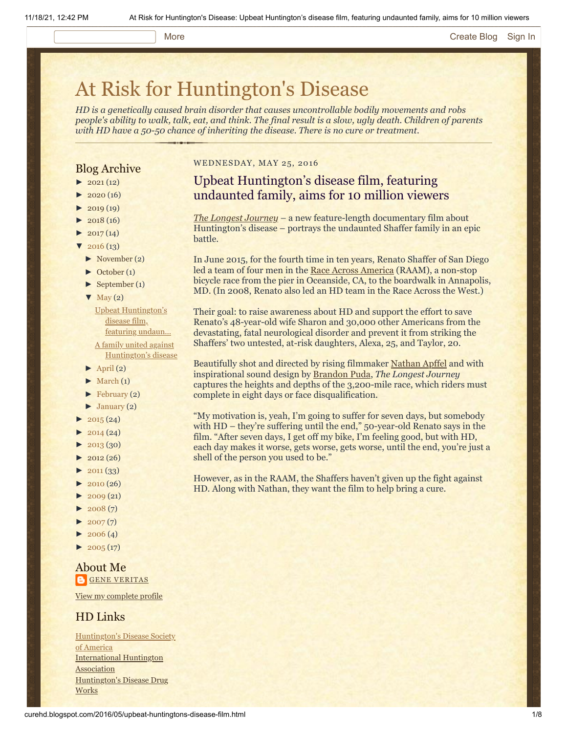#### More **[Create Blog](https://www.blogger.com/home#create) [Sign In](https://www.blogger.com/)**

# [At Risk for Huntington's Disease](http://curehd.blogspot.com/)

*HD is a genetically caused brain disorder that causes uncontrollable bodily movements and robs people's ability to walk, talk, eat, and think. The final result is a slow, ugly death. Children of parents with HD have a 50-50 chance of inheriting the disease. There is no cure or treatment.*

### Blog Archive

- $\blacktriangleright$  [2021](http://curehd.blogspot.com/2021/)(12)
- $2020(16)$  $2020(16)$
- $2019(19)$  $2019(19)$
- $2018(16)$  $2018(16)$
- $2017(14)$  $2017(14)$
- $2016(13)$  $2016(13)$ 
	- [►](javascript:void(0)) [November](http://curehd.blogspot.com/2016/11/) (2)
	- [►](javascript:void(0)) [October](http://curehd.blogspot.com/2016/10/) (1)
	- [►](javascript:void(0)) [September](http://curehd.blogspot.com/2016/09/) (1)

### $\nabla$  [May](http://curehd.blogspot.com/2016/05/) (2)

Upbeat [Huntington's](http://curehd.blogspot.com/2016/05/upbeat-huntingtons-disease-film.html) disease film, featuring undaun...

A family united against [Huntington's](http://curehd.blogspot.com/2016/05/a-family-united-against-huntingtons.html) disease

- $\blacktriangleright$  [April](http://curehd.blogspot.com/2016/04/) (2)
- $\blacktriangleright$  [March](http://curehd.blogspot.com/2016/03/) (1)
- [►](javascript:void(0)) [February](http://curehd.blogspot.com/2016/02/) (2)
- [►](javascript:void(0)) [January](http://curehd.blogspot.com/2016/01/) (2)
- $2015(24)$  $2015(24)$
- $2014(24)$  $2014(24)$
- $\blacktriangleright$  [2013](http://curehd.blogspot.com/2013/) (30)
- $-2012(26)$  $-2012(26)$  $-2012(26)$
- $2011(33)$  $2011(33)$
- $\blacktriangleright$  [2010](http://curehd.blogspot.com/2010/) (26)
- $\blacktriangleright$  [2009](http://curehd.blogspot.com/2009/) (21)
- $\blacktriangleright$  [2008](http://curehd.blogspot.com/2008/) $(7)$
- $\blacktriangleright$  [2007](http://curehd.blogspot.com/2007/) $(7)$
- $\blacktriangleright$  [2006](http://curehd.blogspot.com/2006/) (4)
- $\blacktriangleright$  [2005](http://curehd.blogspot.com/2005/) (17)

#### About Me **B**GENE [VERITAS](https://www.blogger.com/profile/10911736205741688185)

View my [complete](https://www.blogger.com/profile/10911736205741688185) profile

#### HD Links

[Huntington's](http://www.hdsa.org/) Disease Society of America [International](http://www.huntington-assoc.com/) Huntington **Association** [Huntington's](http://hddrugworks.org/) Disease Drug **Works** 

#### WEDNESDAY, MAY 25, 2016

## Upbeat Huntington's disease film, featuring undaunted family, aims for 10 million viewers

*[The Longest Journey](http://www.curehuntingtons.com/)* – a new feature-length documentary film about Huntington's disease – portrays the undaunted Shaffer family in an epic battle.

In June 2015, for the fourth time in ten years, Renato Shaffer of San Diego led a team of four men in the [Race Across America](http://www.raceacrossamerica.org/) (RAAM), a non-stop bicycle race from the pier in Oceanside, CA, to the boardwalk in Annapolis, MD. (In 2008, Renato also led an HD team in the Race Across the West.)

Their goal: to raise awareness about HD and support the effort to save Renato's 48-year-old wife Sharon and 30,000 other Americans from the devastating, fatal neurological disorder and prevent it from striking the Shaffers' two untested, at-risk daughters, Alexa, 25, and Taylor, 20.

Beautifully shot and directed by rising filmmaker [Nathan Apffel](http://www.imdb.com/name/nm2346801/) and with inspirational sound design by [Brandon Puda](http://www.imdb.com/name/nm3540144/), *The Longest Journey* captures the heights and depths of the 3,200-mile race, which riders must complete in eight days or face disqualification.

"My motivation is, yeah, I'm going to suffer for seven days, but somebody with HD – they're suffering until the end," 50-year-old Renato says in the film. "After seven days, I get off my bike, I'm feeling good, but with HD, each day makes it worse, gets worse, gets worse, until the end, you're just a shell of the person you used to be."

However, as in the RAAM, the Shaffers haven't given up the fight against HD. Along with Nathan, they want the film to help bring a cure.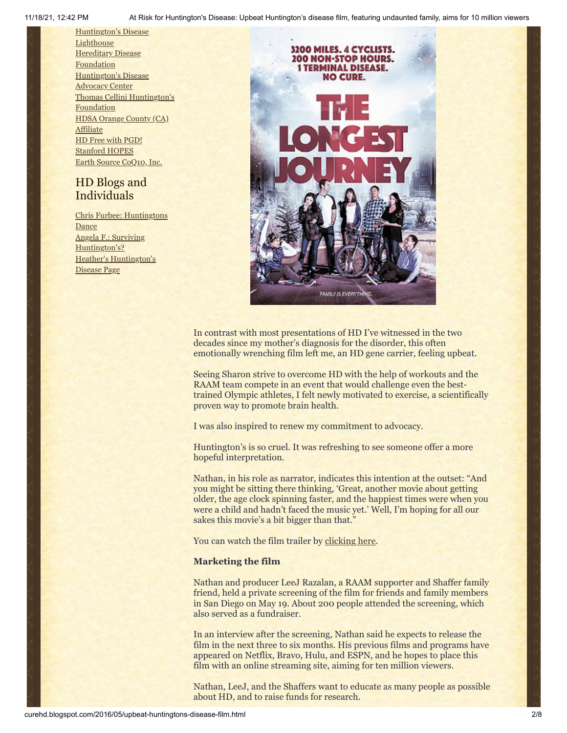[Huntington's](http://www.hdlighthouse.org/) Disease **Lighthouse Hereditary Disease [Foundation](http://www.hdfoundation.org/)** [Huntington's](http://www.hdac.org/) Disease Advocacy Center Thomas [Cellini Huntington's](http://www.ourtchfoundation.org/) **Foundation** HDSA [Orange](http://www.hdsaoc.org/) County (CA) Affiliate HD Free with [PGD!](http://www.hdfreewithpgd.com/) [Stanford](http://www.stanford.edu/group/hopes/) HOPES Earth Source [CoQ10,](http://www.escoq10.com/) Inc.

# HD Blogs and Individuals

Chris Furbee: [Huntingtons](http://www.huntingtonsdance.org/) Dance Angela F.: Surviving [Huntington's?](http://survivinghuntingtons.blogspot.com/) Heather's [Huntington's](http://heatherdugdale.angelfire.com/) Disease Page



In contrast with most presentations of HD I've witnessed in the two decades since my mother's diagnosis for the disorder, this often emotionally wrenching film left me, an HD gene carrier, feeling upbeat.

Seeing Sharon strive to overcome HD with the help of workouts and the RAAM team compete in an event that would challenge even the besttrained Olympic athletes, I felt newly motivated to exercise, a scientifically proven way to promote brain health.

I was also inspired to renew my commitment to advocacy.

Huntington's is so cruel. It was refreshing to see someone offer a more hopeful interpretation.

Nathan, in his role as narrator, indicates this intention at the outset: "And you might be sitting there thinking, 'Great, another movie about getting older, the age clock spinning faster, and the happiest times were when you were a child and hadn't faced the music yet.' Well, I'm hoping for all our sakes this movie's a bit bigger than that."

You can watch the film trailer by [clicking here.](http://www.curehuntingtons.com/)

#### **Marketing the film**

Nathan and producer LeeJ Razalan, a RAAM supporter and Shaffer family friend, held a private screening of the film for friends and family members in San Diego on May 19. About 200 people attended the screening, which also served as a fundraiser.

In an interview after the screening, Nathan said he expects to release the film in the next three to six months. His previous films and programs have appeared on Netflix, Bravo, Hulu, and ESPN, and he hopes to place this film with an online streaming site, aiming for ten million viewers.

Nathan, LeeJ, and the Shaffers want to educate as many people as possible about HD, and to raise funds for research.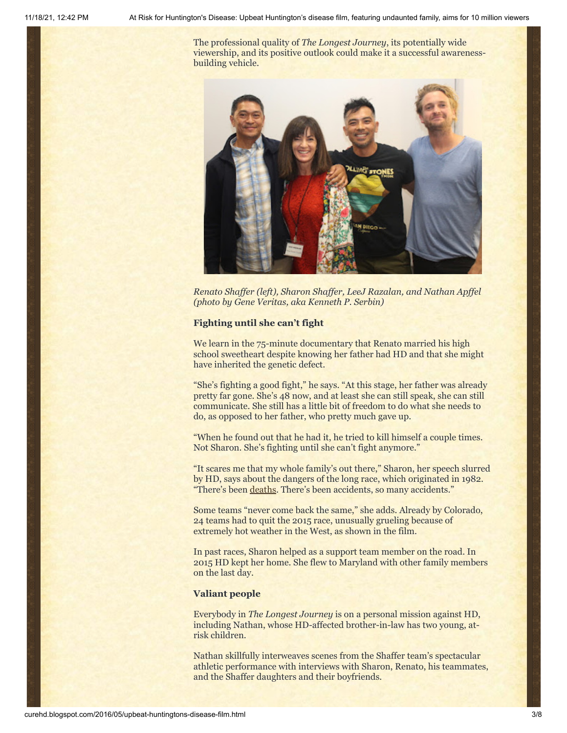The professional quality of *The Longest Journey*, its potentially wide viewership, and its positive outlook could make it a successful awarenessbuilding vehicle.



*Renato Shaffer (left), Sharon Shaffer, LeeJ Razalan, and Nathan Apffel (photo by Gene Veritas, aka Kenneth P. Serbin)*

#### **Fighting until she can't fight**

We learn in the 75-minute documentary that Renato married his high school sweetheart despite knowing her father had HD and that she might have inherited the genetic defect.

"She's fighting a good fight," he says. "At this stage, her father was already pretty far gone. She's 48 now, and at least she can still speak, she can still communicate. She still has a little bit of freedom to do what she needs to do, as opposed to her father, who pretty much gave up.

"When he found out that he had it, he tried to kill himself a couple times. Not Sharon. She's fighting until she can't fight anymore."

"It scares me that my whole family's out there," Sharon, her speech slurred by HD, says about the dangers of the long race, which originated in 1982. "There's been [deaths](http://www.bikeforums.net/advocacy-safety/116733-raam-cyclist-killed-during-race-across-america.html). There's been accidents, so many accidents."

Some teams "never come back the same," she adds. Already by Colorado, 24 teams had to quit the 2015 race, unusually grueling because of extremely hot weather in the West, as shown in the film.

In past races, Sharon helped as a support team member on the road. In 2015 HD kept her home. She flew to Maryland with other family members on the last day.

#### **Valiant people**

Everybody in *The Longest Journey* is on a personal mission against HD, including Nathan, whose HD-affected brother-in-law has two young, atrisk children.

Nathan skillfully interweaves scenes from the Shaffer team's spectacular athletic performance with interviews with Sharon, Renato, his teammates, and the Shaffer daughters and their boyfriends.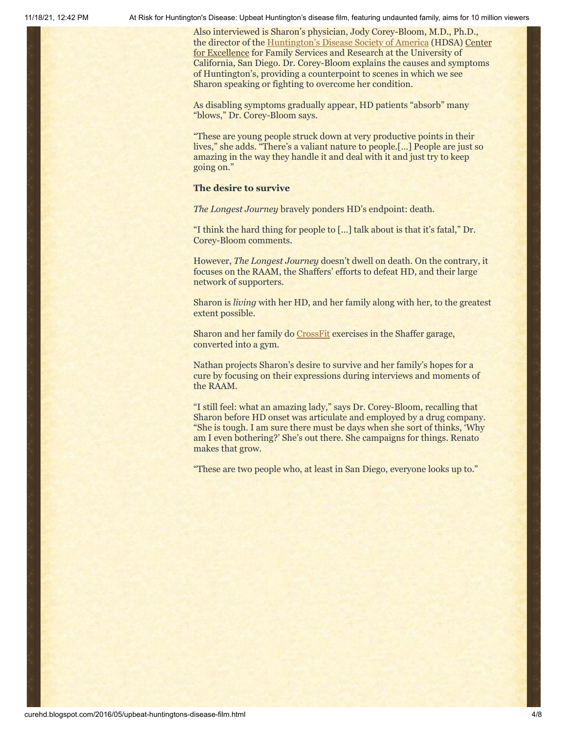Also interviewed is Sharon's physician, Jody Corey-Bloom, M.D., Ph.D., the director of the [Huntington's Disease Society of America \(HDSA\) Center](https://neurosciences.ucsd.edu/centers/huntingtons-disease/Pages/default.aspx) for Excellence for Family Services and Research at the University of California, San Diego. Dr. Corey-Bloom explains the causes and symptoms of Huntington's, providing a counterpoint to scenes in which we see Sharon speaking or fighting to overcome her condition.

As disabling symptoms gradually appear, HD patients "absorb" many "blows," Dr. Corey-Bloom says.

"These are young people struck down at very productive points in their lives," she adds. "There's a valiant nature to people.[…] People are just so amazing in the way they handle it and deal with it and just try to keep going on."

#### **The desire to survive**

*The Longest Journey* bravely ponders HD's endpoint: death.

"I think the hard thing for people to […] talk about is that it's fatal," Dr. Corey-Bloom comments.

However, *The Longest Journey* doesn't dwell on death. On the contrary, it focuses on the RAAM, the Shaffers' efforts to defeat HD, and their large network of supporters.

Sharon is *living* with her HD, and her family along with her, to the greatest extent possible.

Sharon and her family do [CrossFit](http://curehd.blogspot.com/2014/12/sharons-inspirational-journey-with.html) exercises in the Shaffer garage, converted into a gym.

Nathan projects Sharon's desire to survive and her family's hopes for a cure by focusing on their expressions during interviews and moments of the RAAM.

"I still feel: what an amazing lady," says Dr. Corey-Bloom, recalling that Sharon before HD onset was articulate and employed by a drug company. "She is tough. I am sure there must be days when she sort of thinks, 'Why am I even bothering?' She's out there. She campaigns for things. Renato makes that grow.

"These are two people who, at least in San Diego, everyone looks up to."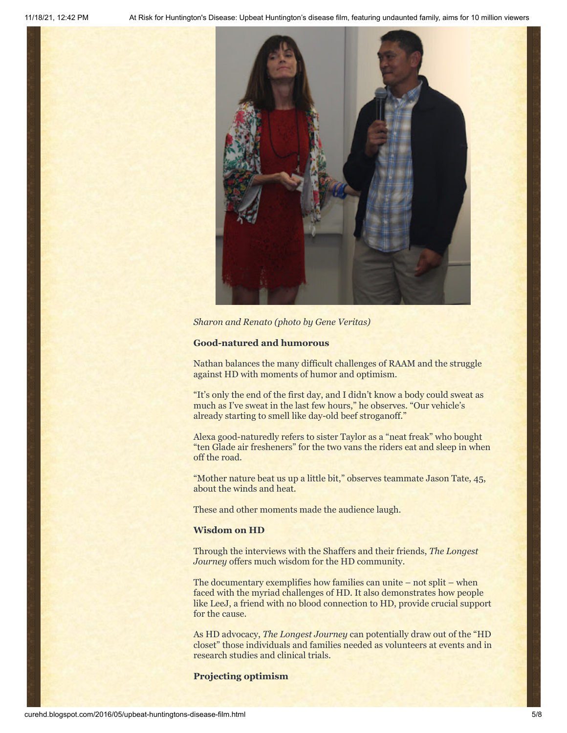

*Sharon and Renato (photo by Gene Veritas)*

#### **Good-natured and humorous**

Nathan balances the many difficult challenges of RAAM and the struggle against HD with moments of humor and optimism.

"It's only the end of the first day, and I didn't know a body could sweat as much as I've sweat in the last few hours," he observes. "Our vehicle's already starting to smell like day-old beef stroganoff."

Alexa good-naturedly refers to sister Taylor as a "neat freak" who bought "ten Glade air fresheners" for the two vans the riders eat and sleep in when off the road.

"Mother nature beat us up a little bit," observes teammate Jason Tate, 45, about the winds and heat.

These and other moments made the audience laugh.

#### **Wisdom on HD**

Through the interviews with the Shaffers and their friends, *The Longest Journey* offers much wisdom for the HD community.

The documentary exemplifies how families can unite – not split – when faced with the myriad challenges of HD. It also demonstrates how people like LeeJ, a friend with no blood connection to HD, provide crucial support for the cause.

As HD advocacy, *The Longest Journey* can potentially draw out of the "HD closet" those individuals and families needed as volunteers at events and in research studies and clinical trials.

**Projecting optimism**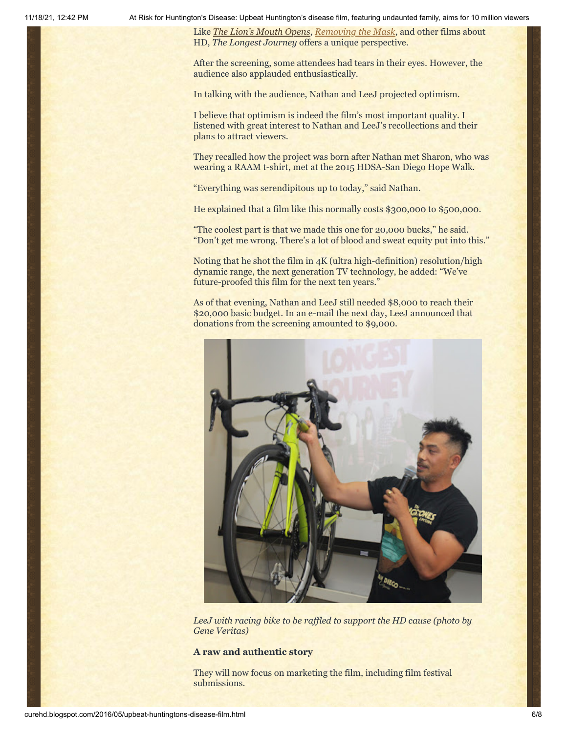Like *[The Lion's Mouth Opens](http://www.huffingtonpost.com/kenneth-p-serbin/huntingtons-disease_b_7472784.html)*, *[Removing the Mask](http://curehd.blogspot.com/2015/09/new-film-unmasks-raw-reality-of.html)*, and other films about HD, *The Longest Journey* offers a unique perspective.

After the screening, some attendees had tears in their eyes. However, the audience also applauded enthusiastically.

In talking with the audience, Nathan and LeeJ projected optimism.

I believe that optimism is indeed the film's most important quality. I listened with great interest to Nathan and LeeJ's recollections and their plans to attract viewers.

They recalled how the project was born after Nathan met Sharon, who was wearing a RAAM t-shirt, met at the 2015 HDSA-San Diego Hope Walk.

"Everything was serendipitous up to today," said Nathan.

He explained that a film like this normally costs \$300,000 to \$500,000.

"The coolest part is that we made this one for 20,000 bucks," he said. "Don't get me wrong. There's a lot of blood and sweat equity put into this."

Noting that he shot the film in 4K (ultra high-definition) resolution/high dynamic range, the next generation TV technology, he added: "We've future-proofed this film for the next ten years."

As of that evening, Nathan and LeeJ still needed \$8,000 to reach their \$20,000 basic budget. In an e-mail the next day, LeeJ announced that donations from the screening amounted to \$9,000.



*LeeJ with racing bike to be raffled to support the HD cause (photo by Gene Veritas)*

#### **A raw and authentic story**

They will now focus on marketing the film, including film festival submissions.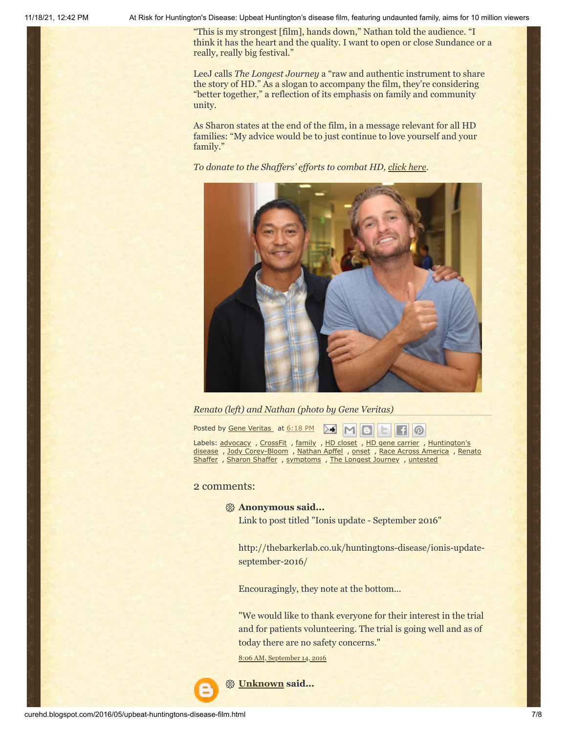"This is my strongest [film], hands down," Nathan told the audience. "I think it has the heart and the quality. I want to open or close Sundance or a really, really big festival."

LeeJ calls *The Longest Journey* a "raw and authentic instrument to share the story of HD." As a slogan to accompany the film, they're considering "better together," a reflection of its emphasis on family and community unity.

As Sharon states at the end of the film, in a message relevant for all HD families: "My advice would be to just continue to love yourself and your family."

*To donate to the Shaffers' efforts to combat HD, [click here](http://www.curehuntingtons.com/).*



#### *Renato (left) and Nathan (photo by Gene Veritas)*

Posted by Gene [Veritas](https://www.blogger.com/profile/03599828959793084715) at [6:18](http://curehd.blogspot.com/2016/05/upbeat-huntingtons-disease-film.html) PM ▷–€  $\boldsymbol{\omega}$ 

Labels: [advocacy](http://curehd.blogspot.com/search/label/advocacy) , [CrossFit](http://curehd.blogspot.com/search/label/CrossFit) , [family](http://curehd.blogspot.com/search/label/family) , HD [closet](http://curehd.blogspot.com/search/label/HD%20closet) , HD gene [carrier](http://curehd.blogspot.com/search/label/HD%20gene%20carrier) , Huntington's disease , Jody [Corey-Bloom](http://curehd.blogspot.com/search/label/Huntington%27s%20disease) , [Nathan](http://curehd.blogspot.com/search/label/Nathan%20Apffel) Apffel , [onset](http://curehd.blogspot.com/search/label/onset) , Race Across [America](http://curehd.blogspot.com/search/label/Race%20Across%20America) , Renato [Shaffer](http://curehd.blogspot.com/search/label/Sharon%20Shaffer) , Sharon Shaffer , [symptoms](http://curehd.blogspot.com/search/label/symptoms) , The Longest [Journey](http://curehd.blogspot.com/search/label/The%20Longest%20Journey) , [untested](http://curehd.blogspot.com/search/label/untested)

#### 2 comments:

#### **Anonymous said...**

Link to post titled "Ionis update - September 2016"

http://thebarkerlab.co.uk/huntingtons-disease/ionis-updateseptember-2016/

Encouragingly, they note at the bottom...

"We would like to thank everyone for their interest in the trial and for patients volunteering. The trial is going well and as of today there are no safety concerns."

8:06 AM, [September](http://curehd.blogspot.com/2016/05/upbeat-huntingtons-disease-film.html?showComment=1473865618341#c345624942392318006) 14, 2016